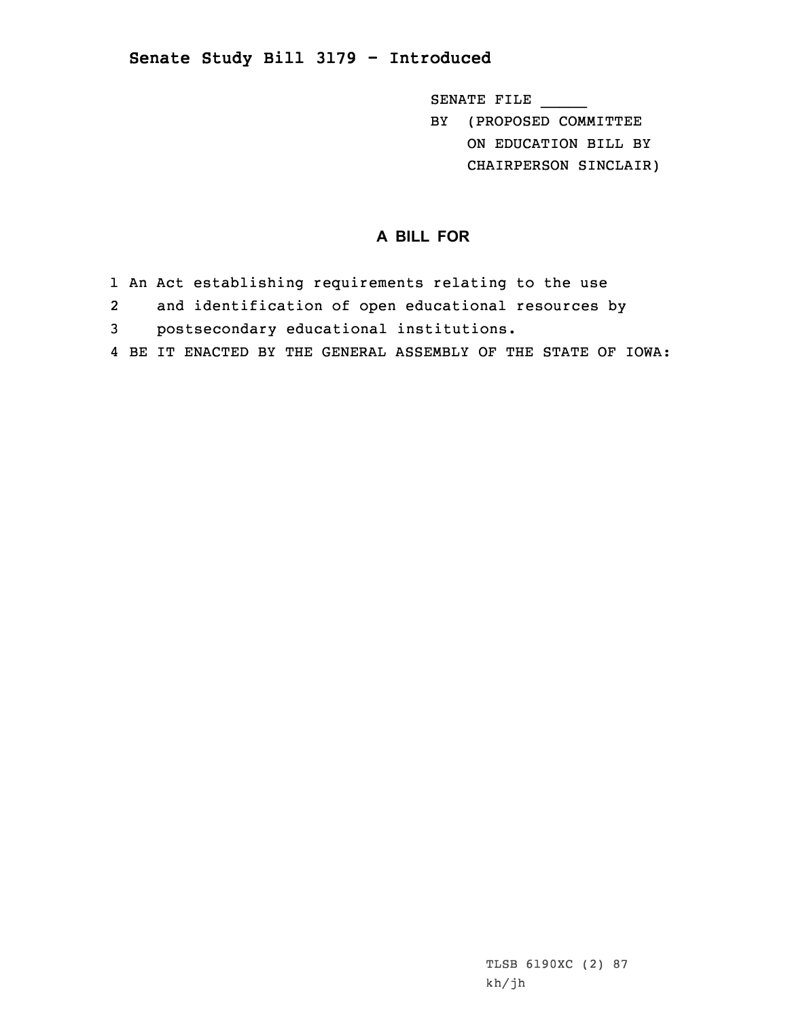## **Senate Study Bill 3179 - Introduced**

SENATE FILE \_\_\_\_\_

BY (PROPOSED COMMITTEE ON EDUCATION BILL BY CHAIRPERSON SINCLAIR)

## **A BILL FOR**

- 1 An Act establishing requirements relating to the use
- 2 and identification of open educational resources by
- 3 postsecondary educational institutions.
- 4 BE IT ENACTED BY THE GENERAL ASSEMBLY OF THE STATE OF IOWA: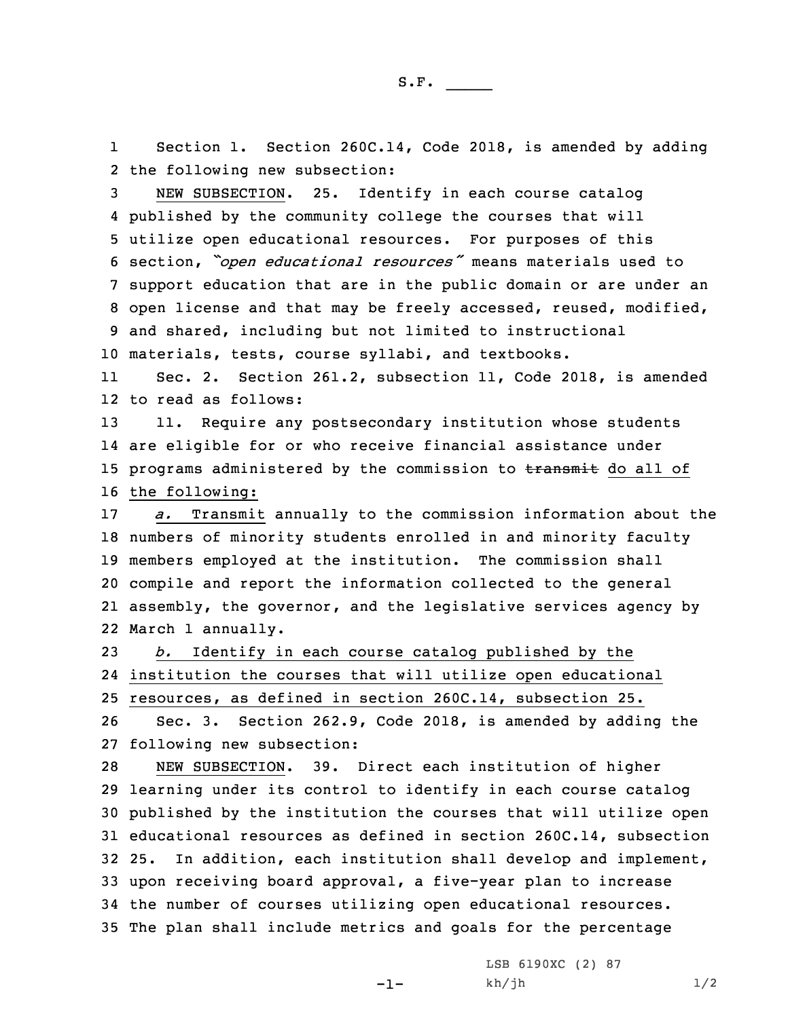1 Section 1. Section 260C.14, Code 2018, is amended by adding 2 the following new subsection:

 NEW SUBSECTION. 25. Identify in each course catalog published by the community college the courses that will utilize open educational resources. For purposes of this section, *"open educational resources"* means materials used to support education that are in the public domain or are under an open license and that may be freely accessed, reused, modified, and shared, including but not limited to instructional materials, tests, course syllabi, and textbooks.

11 Sec. 2. Section 261.2, subsection 11, Code 2018, is amended 12 to read as follows:

 11. Require any postsecondary institution whose students are eligible for or who receive financial assistance under 15 programs administered by the commission to transmit do all of the following:

 *a.* Transmit annually to the commission information about the numbers of minority students enrolled in and minority faculty members employed at the institution. The commission shall compile and report the information collected to the general assembly, the governor, and the legislative services agency by March 1 annually.

23 *b.* Identify in each course catalog published by the 24 institution the courses that will utilize open educational 25 resources, as defined in section 260C.14, subsection 25.

26 Sec. 3. Section 262.9, Code 2018, is amended by adding the 27 following new subsection:

 NEW SUBSECTION. 39. Direct each institution of higher learning under its control to identify in each course catalog published by the institution the courses that will utilize open educational resources as defined in section 260C.14, subsection 25. In addition, each institution shall develop and implement, upon receiving board approval, <sup>a</sup> five-year plan to increase the number of courses utilizing open educational resources. The plan shall include metrics and goals for the percentage

 $-1-$ 

LSB 6190XC (2) 87  $kh/jh$   $1/2$